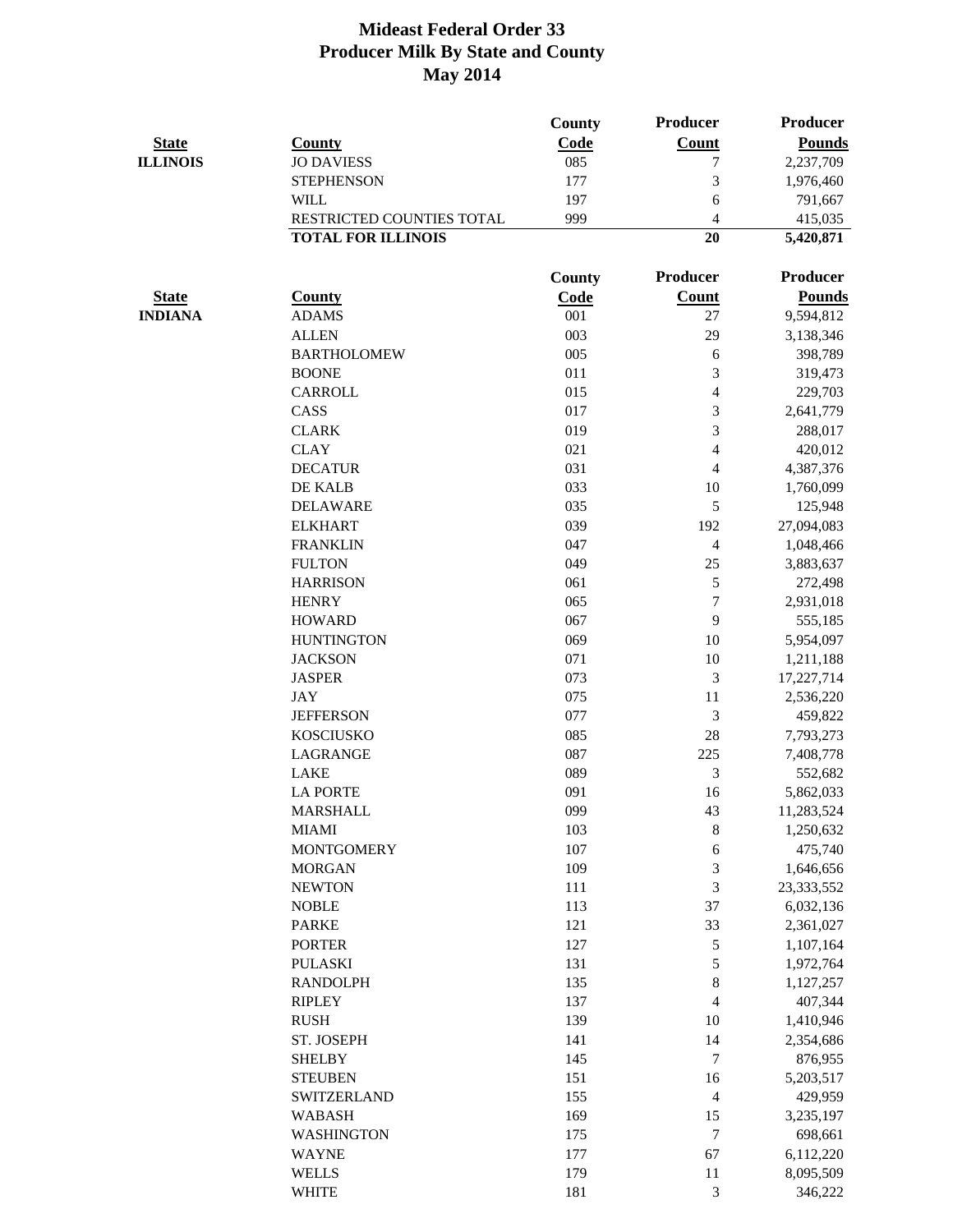|                 |                           | <b>County</b> | <b>Producer</b>          | <b>Producer</b> |
|-----------------|---------------------------|---------------|--------------------------|-----------------|
| <b>State</b>    | <b>County</b>             | Code          | <b>Count</b>             | <b>Pounds</b>   |
| <b>ILLINOIS</b> | <b>JO DAVIESS</b>         | 085           | 7                        | 2,237,709       |
|                 | <b>STEPHENSON</b>         | 177           | 3                        | 1,976,460       |
|                 | <b>WILL</b>               | 197           | 6                        | 791,667         |
|                 | RESTRICTED COUNTIES TOTAL | 999           | $\overline{4}$           | 415,035         |
|                 | <b>TOTAL FOR ILLINOIS</b> |               | 20                       | 5,420,871       |
|                 |                           | <b>County</b> | <b>Producer</b>          | <b>Producer</b> |
| <b>State</b>    | <b>County</b>             | <b>Code</b>   | <b>Count</b>             | <b>Pounds</b>   |
| <b>INDIANA</b>  | <b>ADAMS</b>              | 001           | 27                       | 9,594,812       |
|                 | <b>ALLEN</b>              | 003           | 29                       | 3,138,346       |
|                 | <b>BARTHOLOMEW</b>        | 005           | 6                        | 398,789         |
|                 | <b>BOONE</b>              | 011           | 3                        | 319,473         |
|                 | <b>CARROLL</b>            | 015           | 4                        | 229,703         |
|                 | CASS                      | 017           | 3                        | 2,641,779       |
|                 | <b>CLARK</b>              | 019           | 3                        | 288,017         |
|                 | <b>CLAY</b>               | 021           | $\overline{4}$           | 420,012         |
|                 | <b>DECATUR</b>            | 031           | $\overline{\mathcal{A}}$ | 4,387,376       |
|                 | DE KALB                   | 033           | 10                       | 1,760,099       |
|                 | <b>DELAWARE</b>           | 035           | 5                        | 125,948         |
|                 | <b>ELKHART</b>            | 039           | 192                      | 27,094,083      |
|                 | <b>FRANKLIN</b>           | 047           | $\overline{4}$           | 1,048,466       |
|                 | <b>FULTON</b>             | 049           | 25                       | 3,883,637       |
|                 | <b>HARRISON</b>           | 061           | $\sqrt{5}$               | 272,498         |
|                 | <b>HENRY</b>              | 065           | $\tau$                   | 2,931,018       |
|                 | <b>HOWARD</b>             | 067           | 9                        | 555,185         |
|                 | <b>HUNTINGTON</b>         | 069           | 10                       | 5,954,097       |
|                 | <b>JACKSON</b>            | 071           | 10                       | 1,211,188       |
|                 | <b>JASPER</b>             | 073           | 3                        | 17,227,714      |
|                 | <b>JAY</b>                | 075           | 11                       | 2,536,220       |
|                 | <b>JEFFERSON</b>          | 077           | 3                        | 459,822         |
|                 | <b>KOSCIUSKO</b>          | 085           | 28                       | 7,793,273       |
|                 | LAGRANGE                  | 087           | 225                      | 7,408,778       |
|                 | <b>LAKE</b>               | 089           | 3                        | 552,682         |
|                 | <b>LA PORTE</b>           | 091           | 16                       | 5,862,033       |
|                 | <b>MARSHALL</b>           | 099           | 43                       | 11,283,524      |
|                 | <b>MIAMI</b>              | 103           | 8                        | 1,250,632       |
|                 | <b>MONTGOMERY</b>         | 107           | 6                        | 475,740         |
|                 | <b>MORGAN</b>             | 109           | 3                        | 1,646,656       |
|                 | <b>NEWTON</b>             | 111           | 3                        | 23,333,552      |
|                 | <b>NOBLE</b>              | 113           | 37                       | 6,032,136       |
|                 | <b>PARKE</b>              | 121           | 33                       | 2,361,027       |
|                 | <b>PORTER</b>             | 127           | 5                        | 1,107,164       |
|                 | <b>PULASKI</b>            | 131           | 5                        | 1,972,764       |
|                 | <b>RANDOLPH</b>           | 135           | $\,8\,$                  | 1,127,257       |
|                 | <b>RIPLEY</b>             | 137           | $\overline{4}$           | 407,344         |
|                 | <b>RUSH</b>               | 139           | 10                       | 1,410,946       |
|                 | ST. JOSEPH                | 141           | 14                       | 2,354,686       |
|                 | <b>SHELBY</b>             | 145           | $\tau$                   | 876,955         |
|                 | <b>STEUBEN</b>            | 151           | 16                       | 5,203,517       |
|                 | <b>SWITZERLAND</b>        | 155           | $\overline{4}$           | 429,959         |
|                 | <b>WABASH</b>             | 169           | 15                       | 3,235,197       |
|                 | <b>WASHINGTON</b>         | 175           | $\tau$                   | 698,661         |
|                 | <b>WAYNE</b>              | 177           | 67                       | 6,112,220       |
|                 | <b>WELLS</b>              | 179           | 11                       | 8,095,509       |
|                 | <b>WHITE</b>              | 181           | 3                        | 346,222         |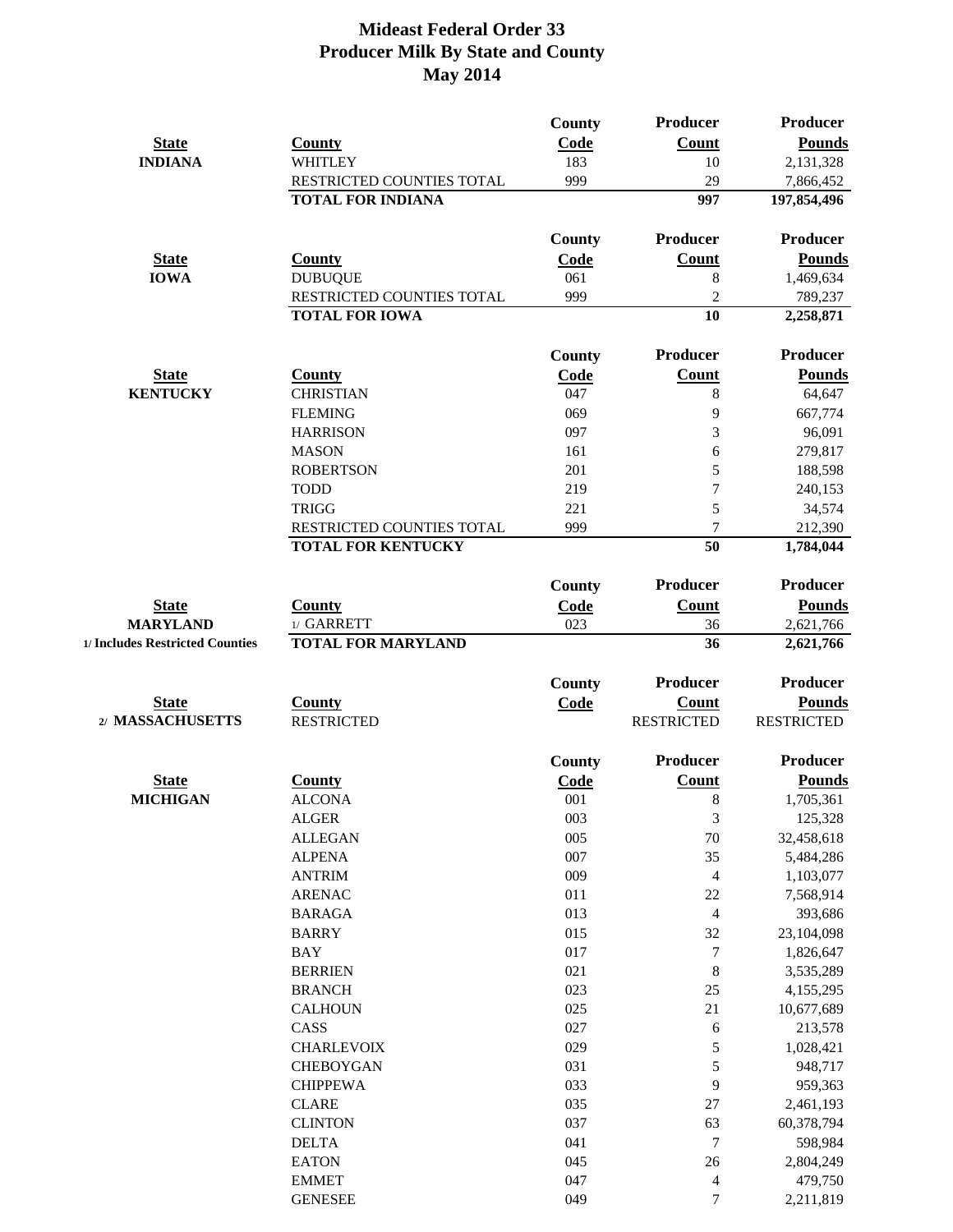|                                 |                                | <b>County</b> | Producer                 | Producer             |
|---------------------------------|--------------------------------|---------------|--------------------------|----------------------|
| <b>State</b>                    | <b>County</b>                  | Code          | <b>Count</b>             | <b>Pounds</b>        |
| <b>INDIANA</b>                  | <b>WHITLEY</b>                 | 183           | 10                       | 2,131,328            |
|                                 | RESTRICTED COUNTIES TOTAL      | 999           | 29                       | 7,866,452            |
|                                 | <b>TOTAL FOR INDIANA</b>       |               | 997                      | 197,854,496          |
|                                 |                                | County        | Producer                 | <b>Producer</b>      |
| <b>State</b>                    | <b>County</b>                  | Code          | <b>Count</b>             | <b>Pounds</b>        |
| <b>IOWA</b>                     | <b>DUBUQUE</b>                 | 061           | 8                        | 1,469,634            |
|                                 | RESTRICTED COUNTIES TOTAL      | 999           | $\overline{2}$           | 789,237              |
|                                 | <b>TOTAL FOR IOWA</b>          |               | 10                       | 2,258,871            |
|                                 |                                | <b>County</b> | Producer                 | <b>Producer</b>      |
| <b>State</b>                    | <b>County</b>                  | Code          | <b>Count</b>             | <b>Pounds</b>        |
| <b>KENTUCKY</b>                 | <b>CHRISTIAN</b>               | 047           | 8                        | 64,647               |
|                                 | <b>FLEMING</b>                 | 069           | 9                        | 667,774              |
|                                 | <b>HARRISON</b>                | 097           | 3                        | 96,091               |
|                                 | <b>MASON</b>                   | 161           | 6                        | 279,817              |
|                                 | <b>ROBERTSON</b>               | 201           | 5                        | 188,598              |
|                                 | <b>TODD</b>                    | 219           | $\overline{7}$           | 240,153              |
|                                 | <b>TRIGG</b>                   | 221           | 5                        | 34,574               |
|                                 | RESTRICTED COUNTIES TOTAL      | 999           | $\overline{7}$           | 212,390              |
|                                 | <b>TOTAL FOR KENTUCKY</b>      |               | 50                       | 1,784,044            |
|                                 |                                | County        | Producer                 | Producer             |
| <b>State</b>                    | <b>County</b>                  | Code          | <b>Count</b>             | <b>Pounds</b>        |
| <b>MARYLAND</b>                 | 1/ GARRETT                     | 023           | 36                       | 2,621,766            |
| 1/ Includes Restricted Counties | <b>TOTAL FOR MARYLAND</b>      |               | 36                       | 2,621,766            |
|                                 |                                | County        | Producer                 | <b>Producer</b>      |
| <b>State</b>                    | <b>County</b>                  | Code          | <b>Count</b>             | <b>Pounds</b>        |
| 2/ MASSACHUSETTS                | <b>RESTRICTED</b>              |               | <b>RESTRICTED</b>        | <b>RESTRICTED</b>    |
|                                 |                                | County        | Producer                 | <b>Producer</b>      |
| <b>State</b>                    | <b>County</b>                  | Code          | <b>Count</b>             | <b>Pounds</b>        |
| <b>MICHIGAN</b>                 | <b>ALCONA</b>                  | 001           | $\,8\,$                  | 1,705,361            |
|                                 | <b>ALGER</b>                   | 003           | 3                        | 125,328              |
|                                 | <b>ALLEGAN</b>                 | 005           | 70                       | 32,458,618           |
|                                 | <b>ALPENA</b>                  | 007           | 35                       | 5,484,286            |
|                                 | <b>ANTRIM</b>                  | 009           | $\overline{4}$           | 1,103,077            |
|                                 | <b>ARENAC</b>                  | 011           | $22\,$                   | 7,568,914            |
|                                 | <b>BARAGA</b>                  | 013           | $\overline{4}$           | 393,686              |
|                                 | <b>BARRY</b>                   | 015           | 32                       | 23,104,098           |
|                                 | <b>BAY</b>                     | 017           | $\overline{7}$           | 1,826,647            |
|                                 | <b>BERRIEN</b>                 | 021           | 8                        | 3,535,289            |
|                                 | <b>BRANCH</b>                  | 023           | 25                       | 4,155,295            |
|                                 | <b>CALHOUN</b>                 | 025           | 21                       | 10,677,689           |
|                                 | CASS                           | 027           | 6                        | 213,578              |
|                                 | <b>CHARLEVOIX</b>              | 029           | 5                        | 1,028,421            |
|                                 | <b>CHEBOYGAN</b>               | 031           | 5                        | 948,717              |
|                                 | <b>CHIPPEWA</b>                | 033           | 9                        | 959,363              |
|                                 | <b>CLARE</b>                   | 035           | 27                       | 2,461,193            |
|                                 | <b>CLINTON</b>                 | 037           | 63                       | 60,378,794           |
|                                 | <b>DELTA</b>                   | 041           | $\overline{7}$           |                      |
|                                 |                                | 045           |                          | 598,984              |
|                                 | <b>EATON</b>                   | 047           | 26                       | 2,804,249            |
|                                 | <b>EMMET</b><br><b>GENESEE</b> | 049           | $\overline{4}$<br>$\tau$ | 479,750<br>2,211,819 |
|                                 |                                |               |                          |                      |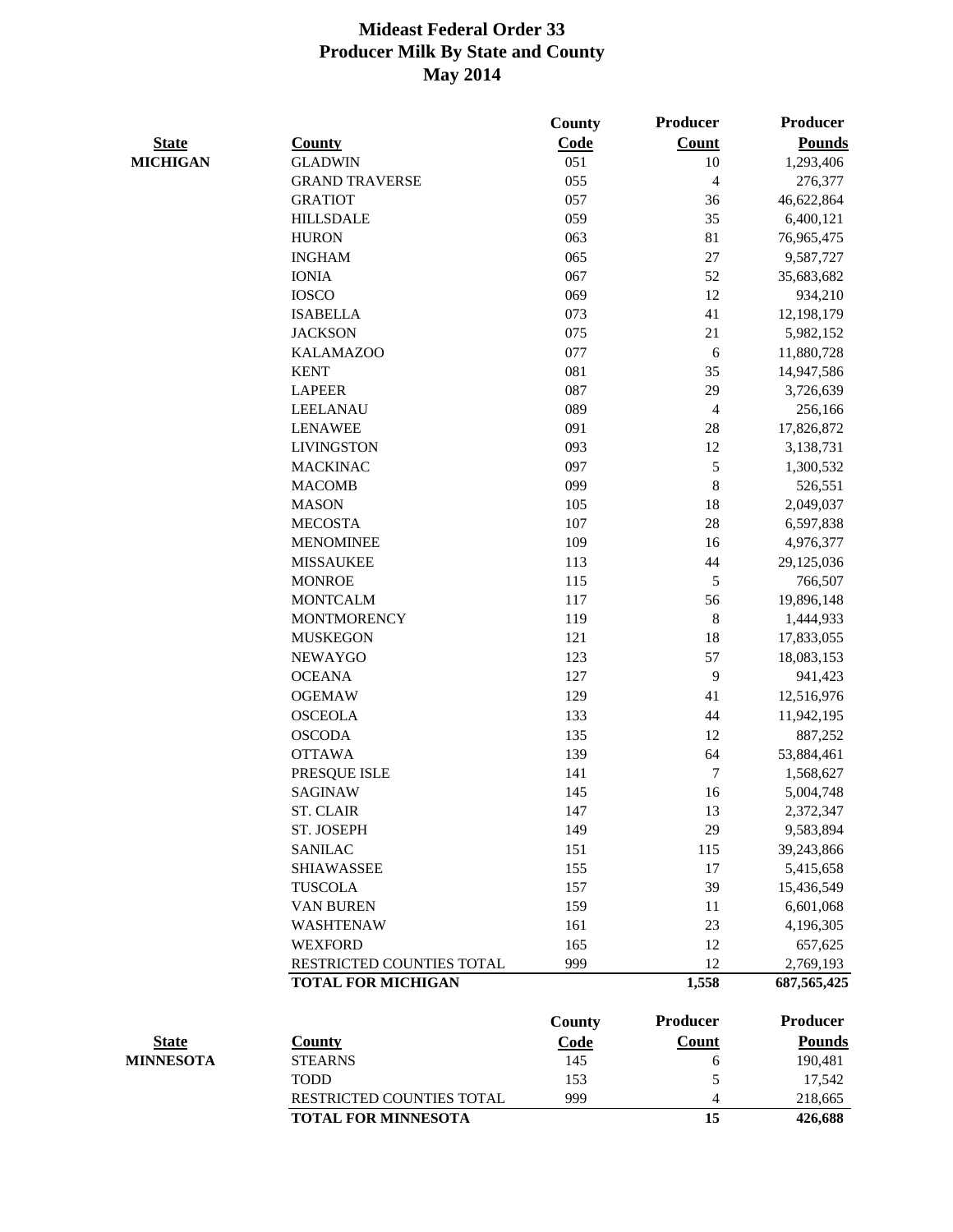|                  |                            | <b>County</b> | <b>Producer</b> | Producer        |
|------------------|----------------------------|---------------|-----------------|-----------------|
| <b>State</b>     | <b>County</b>              | Code          | <b>Count</b>    | <b>Pounds</b>   |
| <b>MICHIGAN</b>  | <b>GLADWIN</b>             | 051           | 10              | 1,293,406       |
|                  | <b>GRAND TRAVERSE</b>      | 055           | $\overline{4}$  | 276,377         |
|                  | <b>GRATIOT</b>             | 057           | 36              | 46,622,864      |
|                  | <b>HILLSDALE</b>           | 059           | 35              | 6,400,121       |
|                  | <b>HURON</b>               | 063           | 81              | 76,965,475      |
|                  | <b>INGHAM</b>              | 065           | 27              | 9,587,727       |
|                  | <b>IONIA</b>               | 067           | 52              | 35,683,682      |
|                  | <b>IOSCO</b>               | 069           | 12              | 934,210         |
|                  | <b>ISABELLA</b>            | 073           | 41              | 12,198,179      |
|                  | <b>JACKSON</b>             | 075           | 21              | 5,982,152       |
|                  | <b>KALAMAZOO</b>           | 077           | 6               | 11,880,728      |
|                  | <b>KENT</b>                | 081           | 35              | 14,947,586      |
|                  | <b>LAPEER</b>              | 087           | 29              | 3,726,639       |
|                  | <b>LEELANAU</b>            | 089           | $\overline{4}$  | 256,166         |
|                  | <b>LENAWEE</b>             | 091           | 28              | 17,826,872      |
|                  | <b>LIVINGSTON</b>          | 093           | 12              | 3,138,731       |
|                  | <b>MACKINAC</b>            | 097           | $\mathfrak{S}$  | 1,300,532       |
|                  | <b>MACOMB</b>              | 099           | 8               | 526,551         |
|                  | <b>MASON</b>               | 105           | 18              | 2,049,037       |
|                  | <b>MECOSTA</b>             | 107           | 28              | 6,597,838       |
|                  | <b>MENOMINEE</b>           | 109           | 16              | 4,976,377       |
|                  | <b>MISSAUKEE</b>           | 113           | 44              | 29,125,036      |
|                  | <b>MONROE</b>              | 115           | 5               | 766,507         |
|                  | <b>MONTCALM</b>            | 117           | 56              | 19,896,148      |
|                  | <b>MONTMORENCY</b>         | 119           | 8               | 1,444,933       |
|                  | <b>MUSKEGON</b>            | 121           | 18              | 17,833,055      |
|                  | <b>NEWAYGO</b>             | 123           | 57              | 18,083,153      |
|                  | <b>OCEANA</b>              | 127           | 9               | 941,423         |
|                  | <b>OGEMAW</b>              | 129           | 41              | 12,516,976      |
|                  | <b>OSCEOLA</b>             | 133           | 44              | 11,942,195      |
|                  | <b>OSCODA</b>              | 135           | 12              | 887,252         |
|                  | <b>OTTAWA</b>              | 139           | 64              | 53,884,461      |
|                  | PRESQUE ISLE               | 141           | $\tau$          | 1,568,627       |
|                  | <b>SAGINAW</b>             | 145           | 16              | 5,004,748       |
|                  | <b>ST. CLAIR</b>           | 147           | 13              | 2,372,347       |
|                  | ST. JOSEPH                 | 149           | 29              | 9,583,894       |
|                  | <b>SANILAC</b>             | 151           | 115             | 39,243,866      |
|                  | <b>SHIAWASSEE</b>          | 155           | 17              | 5,415,658       |
|                  | <b>TUSCOLA</b>             | 157           | 39              | 15,436,549      |
|                  | <b>VAN BUREN</b>           | 159           | 11              | 6,601,068       |
|                  | <b>WASHTENAW</b>           | 161           | 23              | 4,196,305       |
|                  | <b>WEXFORD</b>             | 165           | 12              | 657,625         |
|                  | RESTRICTED COUNTIES TOTAL  | 999           | 12              | 2,769,193       |
|                  | <b>TOTAL FOR MICHIGAN</b>  |               | 1,558           | 687, 565, 425   |
|                  |                            |               |                 |                 |
|                  |                            | <b>County</b> | <b>Producer</b> | <b>Producer</b> |
| <b>State</b>     | <b>County</b>              | <b>Code</b>   | <b>Count</b>    | <b>Pounds</b>   |
| <b>MINNESOTA</b> | <b>STEARNS</b>             | 145           | 6               | 190,481         |
|                  | <b>TODD</b>                | 153           | 5               | 17,542          |
|                  | RESTRICTED COUNTIES TOTAL  | 999           | 4               | 218,665         |
|                  | <b>TOTAL FOR MINNESOTA</b> |               | 15              | 426,688         |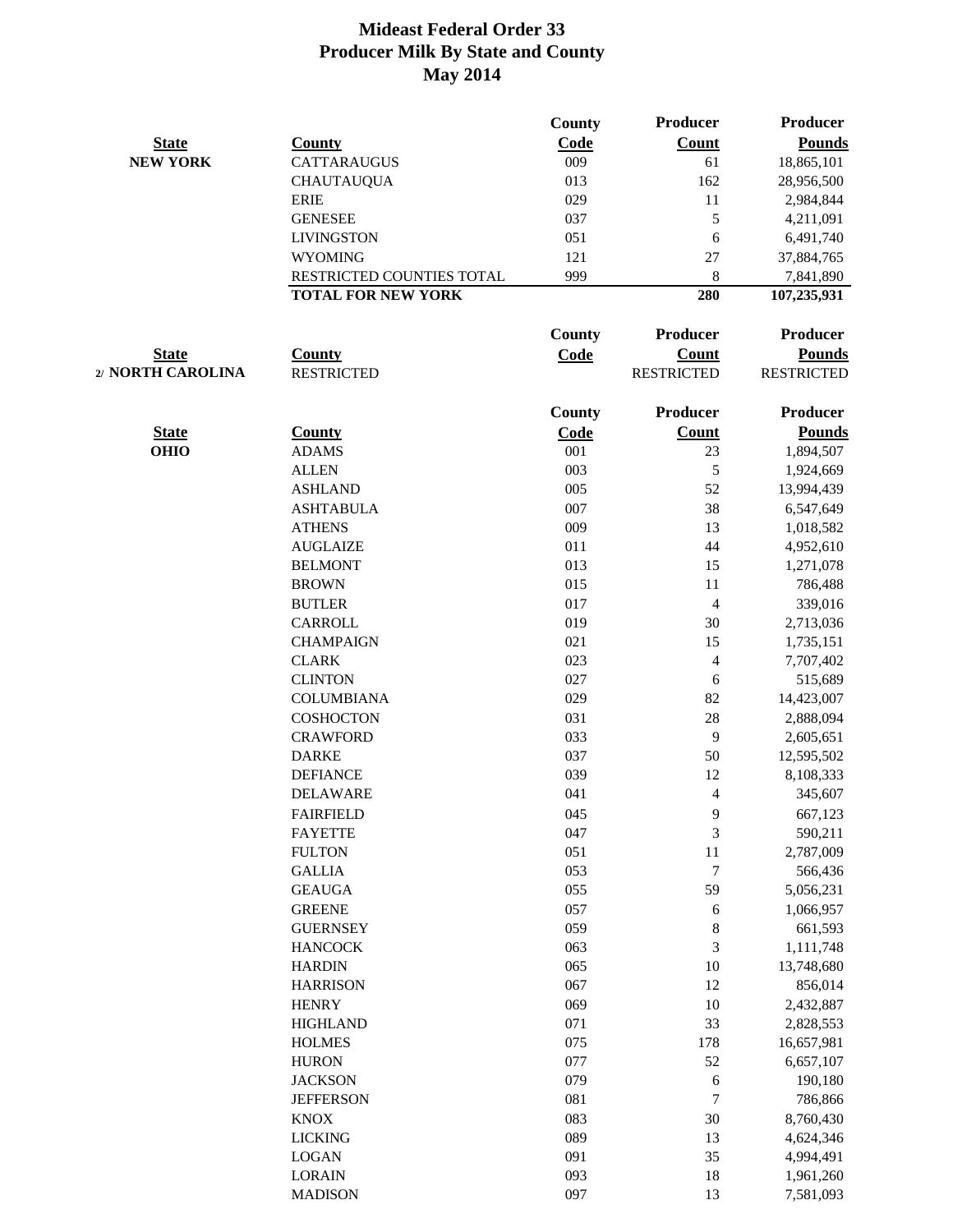|                   |                           | <b>County</b> | <b>Producer</b>          | Producer          |
|-------------------|---------------------------|---------------|--------------------------|-------------------|
| <b>State</b>      | <b>County</b>             | Code          | <b>Count</b>             | <b>Pounds</b>     |
| <b>NEW YORK</b>   | <b>CATTARAUGUS</b>        | 009           | 61                       | 18,865,101        |
|                   | <b>CHAUTAUQUA</b>         | 013           | 162                      | 28,956,500        |
|                   | <b>ERIE</b>               | 029           | 11                       | 2,984,844         |
|                   | <b>GENESEE</b>            | 037           | 5                        | 4,211,091         |
|                   | <b>LIVINGSTON</b>         | 051           | 6                        | 6,491,740         |
|                   | <b>WYOMING</b>            | 121           | 27                       | 37,884,765        |
|                   | RESTRICTED COUNTIES TOTAL | 999           | 8                        | 7,841,890         |
|                   | <b>TOTAL FOR NEW YORK</b> |               | 280                      | 107,235,931       |
|                   |                           | County        | <b>Producer</b>          | <b>Producer</b>   |
| <b>State</b>      | <b>County</b>             | <b>Code</b>   | <b>Count</b>             | <b>Pounds</b>     |
| 2/ NORTH CAROLINA | <b>RESTRICTED</b>         |               | <b>RESTRICTED</b>        | <b>RESTRICTED</b> |
|                   |                           | <b>County</b> | <b>Producer</b>          | Producer          |
| <b>State</b>      | <b>County</b>             | <b>Code</b>   | <b>Count</b>             | <b>Pounds</b>     |
| <b>OHIO</b>       | <b>ADAMS</b>              | 001           | 23                       | 1,894,507         |
|                   | <b>ALLEN</b>              | 003           | 5                        | 1,924,669         |
|                   | <b>ASHLAND</b>            | 005           | 52                       | 13,994,439        |
|                   | <b>ASHTABULA</b>          | 007           | 38                       | 6,547,649         |
|                   | <b>ATHENS</b>             | 009           | 13                       | 1,018,582         |
|                   | <b>AUGLAIZE</b>           | 011           | 44                       | 4,952,610         |
|                   | <b>BELMONT</b>            | 013           | 15                       | 1,271,078         |
|                   | <b>BROWN</b>              | 015           | 11                       | 786,488           |
|                   | <b>BUTLER</b>             | 017           | $\overline{\mathcal{L}}$ | 339,016           |
|                   | <b>CARROLL</b>            | 019           | 30                       | 2,713,036         |
|                   | <b>CHAMPAIGN</b>          | 021           | 15                       | 1,735,151         |
|                   | <b>CLARK</b>              | 023           | $\overline{\mathcal{A}}$ | 7,707,402         |
|                   | <b>CLINTON</b>            | 027           | 6                        | 515,689           |
|                   | <b>COLUMBIANA</b>         | 029           | 82                       | 14,423,007        |
|                   | <b>COSHOCTON</b>          | 031           | 28                       | 2,888,094         |
|                   | <b>CRAWFORD</b>           | 033           | 9                        | 2,605,651         |
|                   | <b>DARKE</b>              | 037           | 50                       | 12,595,502        |
|                   | <b>DEFIANCE</b>           | 039           | 12                       | 8,108,333         |
|                   | <b>DELAWARE</b>           | 041           | 4                        | 345,607           |
|                   | <b>FAIRFIELD</b>          | 045           | 9                        | 667,123           |
|                   | <b>FAYETTE</b>            | 047           | 3                        | 590,211           |
|                   | <b>FULTON</b>             | 051           | 11                       | 2,787,009         |
|                   | <b>GALLIA</b>             | 053           | $\boldsymbol{7}$         | 566,436           |
|                   | <b>GEAUGA</b>             | 055           |                          |                   |
|                   | <b>GREENE</b>             | 057           | 59                       | 5,056,231         |
|                   |                           | 059           | 6                        | 1,066,957         |
|                   | <b>GUERNSEY</b>           |               | $8\,$                    | 661,593           |
|                   | <b>HANCOCK</b>            | 063           | 3                        | 1,111,748         |
|                   | <b>HARDIN</b>             | 065           | 10                       | 13,748,680        |
|                   | <b>HARRISON</b>           | 067           | 12                       | 856,014           |
|                   | <b>HENRY</b>              | 069           | 10                       | 2,432,887         |
|                   | <b>HIGHLAND</b>           | 071           | 33                       | 2,828,553         |
|                   | <b>HOLMES</b>             | 075           | 178                      | 16,657,981        |
|                   | <b>HURON</b>              | 077           | 52                       | 6,657,107         |
|                   | <b>JACKSON</b>            | 079           | 6                        | 190,180           |
|                   | <b>JEFFERSON</b>          | 081           | $\boldsymbol{7}$         | 786,866           |
|                   | <b>KNOX</b>               | 083           | 30                       | 8,760,430         |
|                   | <b>LICKING</b>            | 089           | 13                       | 4,624,346         |
|                   | <b>LOGAN</b>              | 091           | 35                       | 4,994,491         |
|                   | <b>LORAIN</b>             | 093           | 18                       | 1,961,260         |
|                   | <b>MADISON</b>            | 097           | 13                       | 7,581,093         |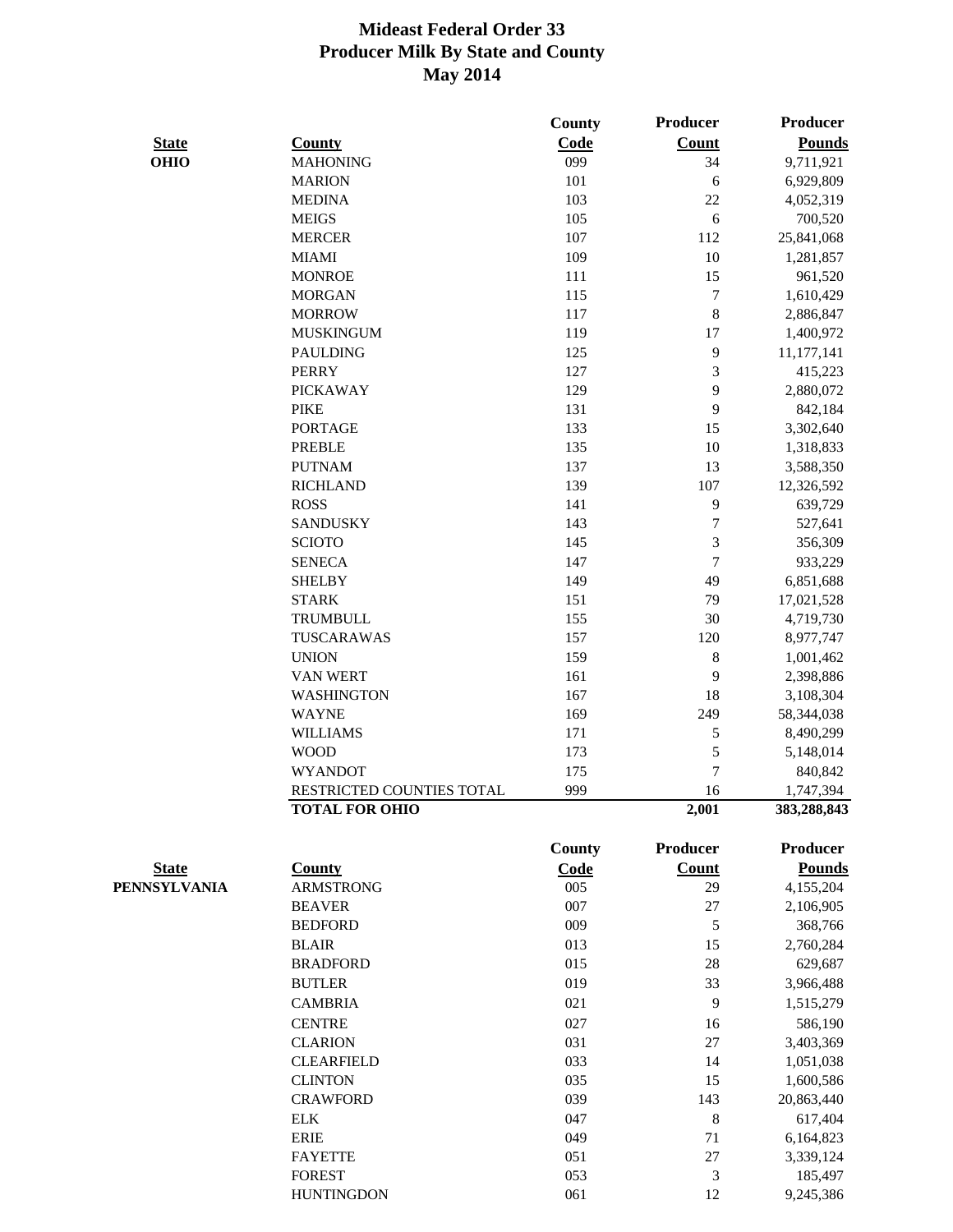|              |                                                    | <b>County</b> | <b>Producer</b>  | <b>Producer</b>          |
|--------------|----------------------------------------------------|---------------|------------------|--------------------------|
| <b>State</b> | <b>County</b>                                      | Code          | <b>Count</b>     | <b>Pounds</b>            |
| <b>OHIO</b>  | <b>MAHONING</b>                                    | 099           | 34               | 9,711,921                |
|              | <b>MARION</b>                                      | 101           | 6                | 6,929,809                |
|              | <b>MEDINA</b>                                      | 103           | 22               | 4,052,319                |
|              | <b>MEIGS</b>                                       | 105           | 6                | 700,520                  |
|              | <b>MERCER</b>                                      | 107           | 112              | 25,841,068               |
|              | <b>MIAMI</b>                                       | 109           | 10               | 1,281,857                |
|              | <b>MONROE</b>                                      | 111           | 15               | 961,520                  |
|              | <b>MORGAN</b>                                      | 115           | $\tau$           | 1,610,429                |
|              | <b>MORROW</b>                                      | 117           | $8\,$            | 2,886,847                |
|              | <b>MUSKINGUM</b>                                   | 119           | 17               | 1,400,972                |
|              | <b>PAULDING</b>                                    | 125           | 9                | 11,177,141               |
|              | <b>PERRY</b>                                       | 127           | 3                | 415,223                  |
|              | <b>PICKAWAY</b>                                    | 129           | 9                | 2,880,072                |
|              | <b>PIKE</b>                                        | 131           | 9                | 842,184                  |
|              | <b>PORTAGE</b>                                     | 133           | 15               | 3,302,640                |
|              | <b>PREBLE</b>                                      | 135           | 10               | 1,318,833                |
|              | <b>PUTNAM</b>                                      | 137           | 13               | 3,588,350                |
|              | <b>RICHLAND</b>                                    | 139           | 107              | 12,326,592               |
|              | <b>ROSS</b>                                        | 141           | 9                | 639,729                  |
|              | <b>SANDUSKY</b>                                    | 143           | $\boldsymbol{7}$ | 527,641                  |
|              | <b>SCIOTO</b>                                      | 145           | 3                | 356,309                  |
|              | <b>SENECA</b>                                      | 147           | $\overline{7}$   | 933,229                  |
|              | <b>SHELBY</b>                                      | 149           | 49               | 6,851,688                |
|              | <b>STARK</b>                                       | 151           | 79               | 17,021,528               |
|              | <b>TRUMBULL</b>                                    | 155           | 30               | 4,719,730                |
|              | TUSCARAWAS                                         | 157           | 120              | 8,977,747                |
|              | <b>UNION</b>                                       | 159           | 8                | 1,001,462                |
|              | <b>VAN WERT</b>                                    | 161           | 9                | 2,398,886                |
|              | <b>WASHINGTON</b>                                  | 167           | 18               |                          |
|              | <b>WAYNE</b>                                       |               |                  | 3,108,304                |
|              |                                                    | 169           | 249              | 58,344,038               |
|              | <b>WILLIAMS</b>                                    | 171           | 5<br>5           | 8,490,299                |
|              | <b>WOOD</b>                                        | 173           |                  | 5,148,014                |
|              | <b>WYANDOT</b>                                     | 175           | $\tau$           | 840,842                  |
|              | RESTRICTED COUNTIES TOTAL<br><b>TOTAL FOR OHIO</b> | 999           | 16<br>2,001      | 1,747,394<br>383,288,843 |
|              |                                                    |               |                  |                          |
|              |                                                    | <b>County</b> | Producer         | <b>Producer</b>          |
| <b>State</b> | <b>County</b>                                      | <b>Code</b>   | <b>Count</b>     | <b>Pounds</b>            |
| PENNSYLVANIA | <b>ARMSTRONG</b>                                   | 005           | 29               | 4,155,204                |
|              | <b>BEAVER</b>                                      | 007           | 27               | 2,106,905                |
|              | <b>BEDFORD</b>                                     | 009           | 5                | 368,766                  |
|              | <b>BLAIR</b>                                       | 013           | 15               | 2,760,284                |
|              | <b>BRADFORD</b>                                    | 015           | 28               | 629,687                  |
|              | <b>BUTLER</b>                                      | 019           | 33               | 3,966,488                |
|              | <b>CAMBRIA</b>                                     | 021           | 9                | 1,515,279                |
|              | <b>CENTRE</b>                                      | 027           | 16               | 586,190                  |
|              | <b>CLARION</b>                                     | 031           | 27               | 3,403,369                |
|              | <b>CLEARFIELD</b>                                  | 033           | 14               | 1,051,038                |
|              | <b>CLINTON</b>                                     | 035           | 15               | 1,600,586                |
|              | <b>CRAWFORD</b>                                    | 039           | 143              | 20,863,440               |
|              | <b>ELK</b>                                         | 047           | $\, 8$           | 617,404                  |
|              | <b>ERIE</b>                                        | 049           | 71               | 6,164,823                |
|              | <b>FAYETTE</b>                                     | 051           | 27               | 3,339,124                |
|              | <b>FOREST</b>                                      | 053           | 3                | 185,497                  |
|              | <b>HUNTINGDON</b>                                  | 061           | 12               | 9,245,386                |
|              |                                                    |               |                  |                          |